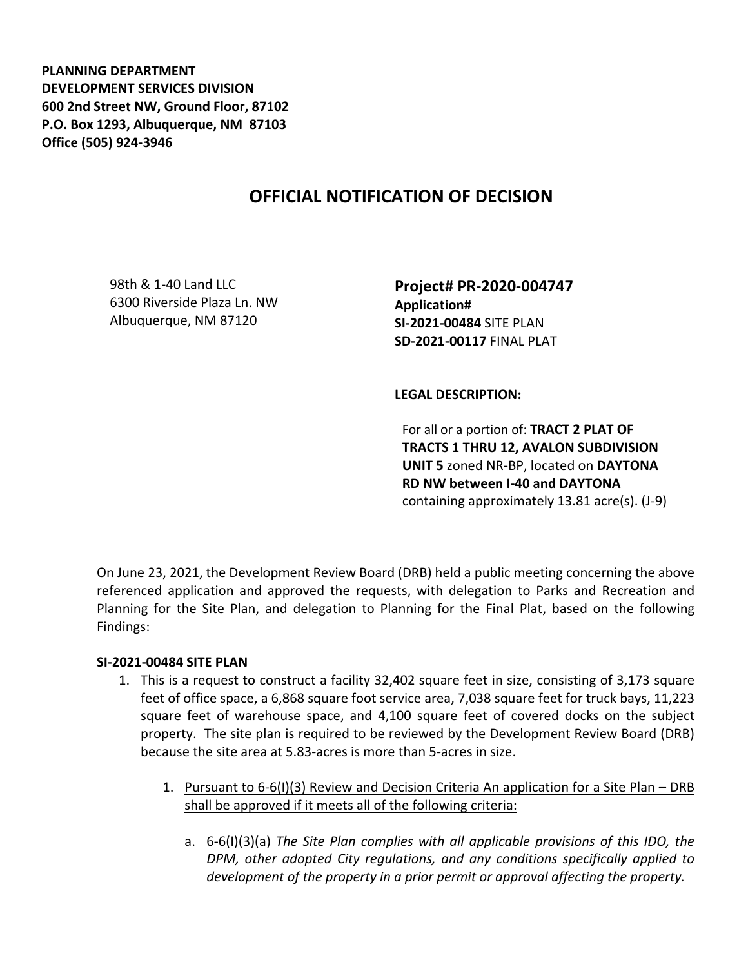**PLANNING DEPARTMENT DEVELOPMENT SERVICES DIVISION 600 2nd Street NW, Ground Floor, 87102 P.O. Box 1293, Albuquerque, NM 87103 Office (505) 924-3946** 

# **OFFICIAL NOTIFICATION OF DECISION**

98th & 1-40 Land LLC 6300 Riverside Plaza Ln. NW Albuquerque, NM 87120

**Project# PR-2020-004747 Application# SI-2021-00484** SITE PLAN **SD-2021-00117** FINAL PLAT

**LEGAL DESCRIPTION:**

For all or a portion of: **TRACT 2 PLAT OF TRACTS 1 THRU 12, AVALON SUBDIVISION UNIT 5** zoned NR-BP, located on **DAYTONA RD NW between I-40 and DAYTONA**  containing approximately 13.81 acre(s). (J-9)

On June 23, 2021, the Development Review Board (DRB) held a public meeting concerning the above referenced application and approved the requests, with delegation to Parks and Recreation and Planning for the Site Plan, and delegation to Planning for the Final Plat, based on the following Findings:

### **SI-2021-00484 SITE PLAN**

- 1. This is a request to construct a facility 32,402 square feet in size, consisting of 3,173 square feet of office space, a 6,868 square foot service area, 7,038 square feet for truck bays, 11,223 square feet of warehouse space, and 4,100 square feet of covered docks on the subject property. The site plan is required to be reviewed by the Development Review Board (DRB) because the site area at 5.83-acres is more than 5-acres in size.
	- 1. Pursuant to 6-6(I)(3) Review and Decision Criteria An application for a Site Plan DRB shall be approved if it meets all of the following criteria:
		- a. 6-6(I)(3)(a) *The Site Plan complies with all applicable provisions of this IDO, the DPM, other adopted City regulations, and any conditions specifically applied to development of the property in a prior permit or approval affecting the property.*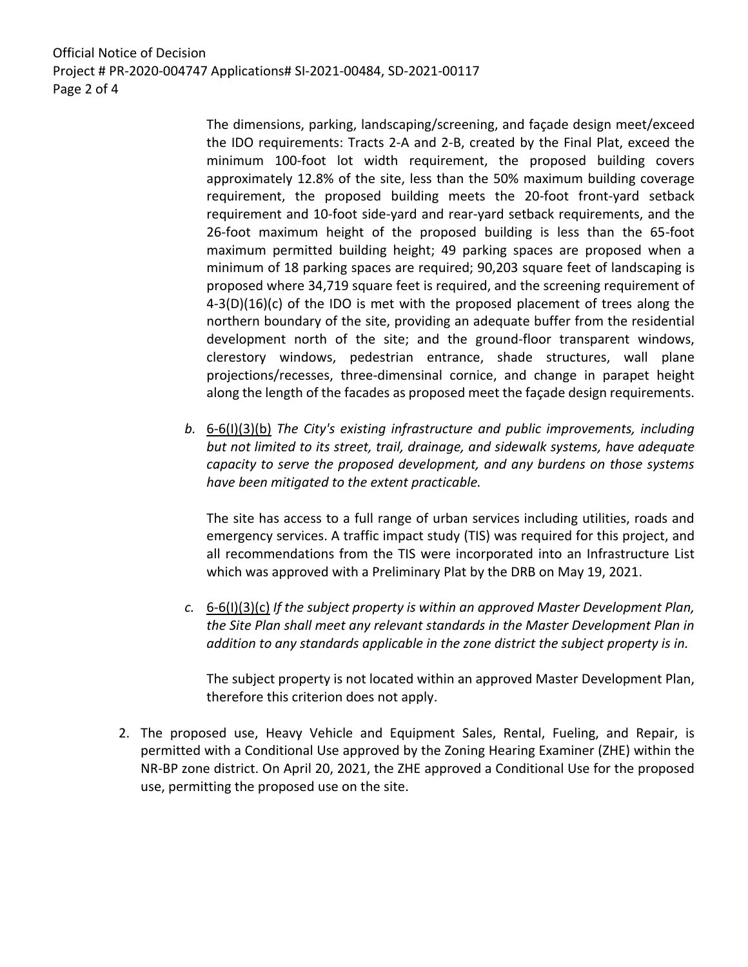Official Notice of Decision Project # PR-2020-004747 Applications# SI-2021-00484, SD-2021-00117 Page 2 of 4

> The dimensions, parking, landscaping/screening, and façade design meet/exceed the IDO requirements: Tracts 2-A and 2-B, created by the Final Plat, exceed the minimum 100-foot lot width requirement, the proposed building covers approximately 12.8% of the site, less than the 50% maximum building coverage requirement, the proposed building meets the 20-foot front-yard setback requirement and 10-foot side-yard and rear-yard setback requirements, and the 26-foot maximum height of the proposed building is less than the 65-foot maximum permitted building height; 49 parking spaces are proposed when a minimum of 18 parking spaces are required; 90,203 square feet of landscaping is proposed where 34,719 square feet is required, and the screening requirement of  $4-3(D)(16)(c)$  of the IDO is met with the proposed placement of trees along the northern boundary of the site, providing an adequate buffer from the residential development north of the site; and the ground-floor transparent windows, clerestory windows, pedestrian entrance, shade structures, wall plane projections/recesses, three-dimensinal cornice, and change in parapet height along the length of the facades as proposed meet the façade design requirements.

*b.* 6-6(I)(3)(b) *The City's existing infrastructure and public improvements, including but not limited to its street, trail, drainage, and sidewalk systems, have adequate capacity to serve the proposed development, and any burdens on those systems have been mitigated to the extent practicable.* 

The site has access to a full range of urban services including utilities, roads and emergency services. A traffic impact study (TIS) was required for this project, and all recommendations from the TIS were incorporated into an Infrastructure List which was approved with a Preliminary Plat by the DRB on May 19, 2021.

*c.* 6-6(I)(3)(c) *If the subject property is within an approved Master Development Plan, the Site Plan shall meet any relevant standards in the Master Development Plan in addition to any standards applicable in the zone district the subject property is in.*

The subject property is not located within an approved Master Development Plan, therefore this criterion does not apply.

2. The proposed use, Heavy Vehicle and Equipment Sales, Rental, Fueling, and Repair, is permitted with a Conditional Use approved by the Zoning Hearing Examiner (ZHE) within the NR-BP zone district. On April 20, 2021, the ZHE approved a Conditional Use for the proposed use, permitting the proposed use on the site.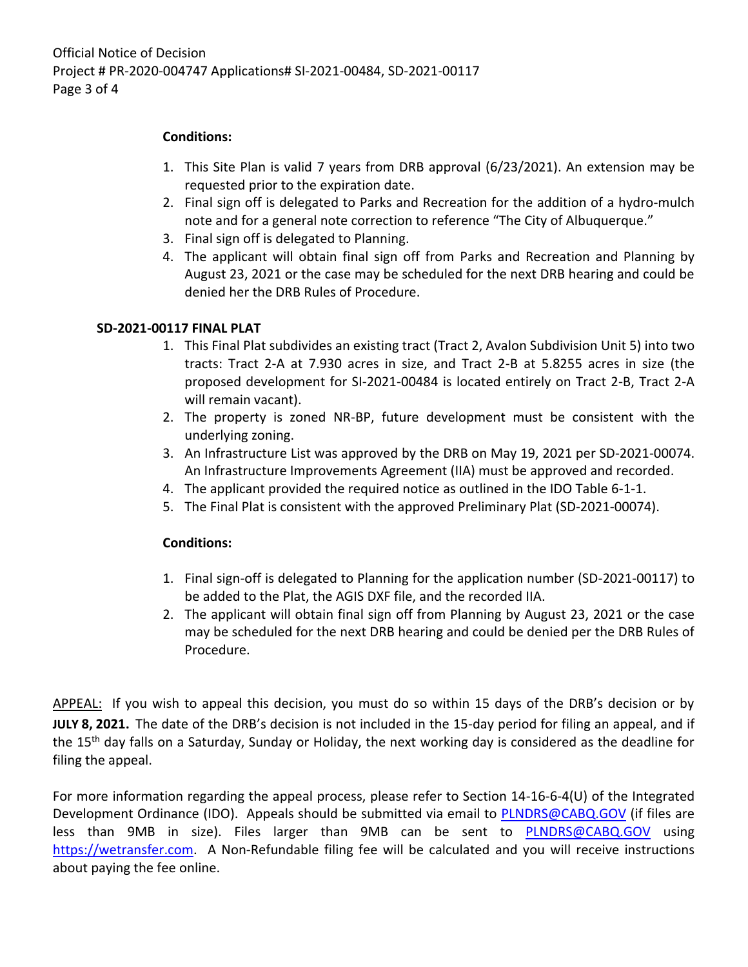## **Conditions:**

- 1. This Site Plan is valid 7 years from DRB approval (6/23/2021). An extension may be requested prior to the expiration date.
- 2. Final sign off is delegated to Parks and Recreation for the addition of a hydro-mulch note and for a general note correction to reference "The City of Albuquerque."
- 3. Final sign off is delegated to Planning.
- 4. The applicant will obtain final sign off from Parks and Recreation and Planning by August 23, 2021 or the case may be scheduled for the next DRB hearing and could be denied her the DRB Rules of Procedure.

# **SD-2021-00117 FINAL PLAT**

- 1. This Final Plat subdivides an existing tract (Tract 2, Avalon Subdivision Unit 5) into two tracts: Tract 2-A at 7.930 acres in size, and Tract 2-B at 5.8255 acres in size (the proposed development for SI-2021-00484 is located entirely on Tract 2-B, Tract 2-A will remain vacant).
- 2. The property is zoned NR-BP, future development must be consistent with the underlying zoning.
- 3. An Infrastructure List was approved by the DRB on May 19, 2021 per SD-2021-00074. An Infrastructure Improvements Agreement (IIA) must be approved and recorded.
- 4. The applicant provided the required notice as outlined in the IDO Table 6-1-1.
- 5. The Final Plat is consistent with the approved Preliminary Plat (SD-2021-00074).

### **Conditions:**

- 1. Final sign-off is delegated to Planning for the application number (SD-2021-00117) to be added to the Plat, the AGIS DXF file, and the recorded IIA.
- 2. The applicant will obtain final sign off from Planning by August 23, 2021 or the case may be scheduled for the next DRB hearing and could be denied per the DRB Rules of Procedure.

APPEAL: If you wish to appeal this decision, you must do so within 15 days of the DRB's decision or by **JULY 8, 2021.** The date of the DRB's decision is not included in the 15-day period for filing an appeal, and if the 15<sup>th</sup> day falls on a Saturday, Sunday or Holiday, the next working day is considered as the deadline for filing the appeal.

For more information regarding the appeal process, please refer to Section 14-16-6-4(U) of the Integrated Development Ordinance (IDO). Appeals should be submitted via email to [PLNDRS@CABQ.GOV](mailto:PLNDRS@CABQ.GOV) (if files are less than 9MB in size). Files larger than 9MB can be sent to [PLNDRS@CABQ.GOV](mailto:PLNDRS@CABQ.GOV) using [https://wetransfer.com.](https://wetransfer.com/) A Non-Refundable filing fee will be calculated and you will receive instructions about paying the fee online.